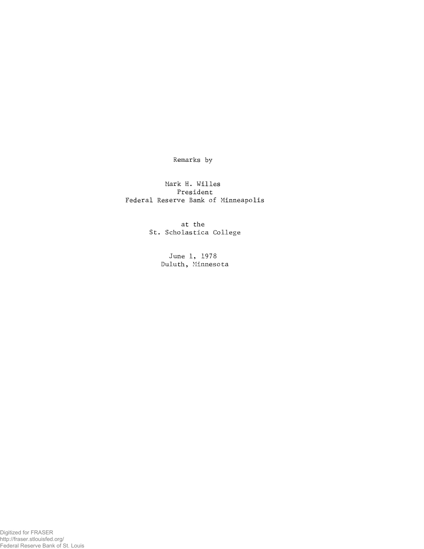**Remarks by**

**Mark H. Willes President Federal Reserve Bank of Minneapolis**

> **at the St. Scholastica College**

> > **June 1, 1978 Duluth, Minnesota**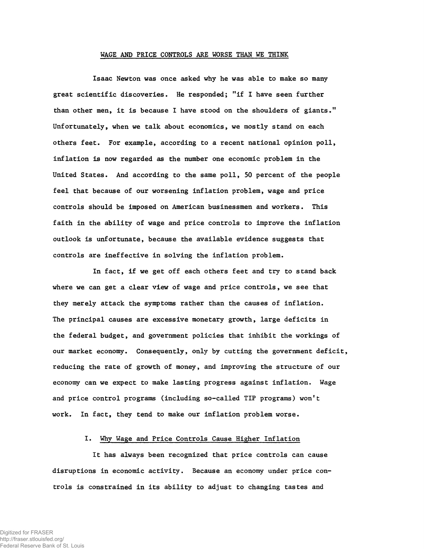## **WAGE AND PRICE CONTROLS ARE WORSE THAN WE THINK**

**Isaac Newton was once asked why he was able to make so many great scientific discoveries. He responded; 11 if I have seen further than other men, it is because I have stood on the shoulders of giants." Unfortunately, when we talk about economics, we mostly stand on each others feet. For example, according to a recent national opinion poll, inflation is now regarded as the number one economic problem in the United States. And according to the same poll, 50 percent of the people feel that because of our worsening inflation problem, wage and price controls should be imposed on American businessmen and workers. This faith in the ability of wage and price controls to improve the inflation outlook is unfortunate, because the available evidence suggests that controls are ineffective in solving the inflation problem.**

**In fact, if we get off each others feet and try to stand back where we can get a clear view of wage and price controls, we see that they merely attack the symptoms rather than the causes of inflation. The principal causes are excessive monetary growth, large deficits in the federal budget, and government policies that inhibit the workings of our market economy. Consequently, only by cutting the government deficit, reducing the rate of growth of money, and improving the structure of our economy can we expect to make lasting progress against inflation. Wage and price control programs (including so-called TIP programs) won't work. In fact, they tend to make our inflation problem worse.**

# **I. Why Wage and Price Controls Cause Higher Inflation**

**It has always been recognized that price controls can cause disruptions in economic activity. Because an economy under price controls is constrained in its ability to adjust to changing tastes and**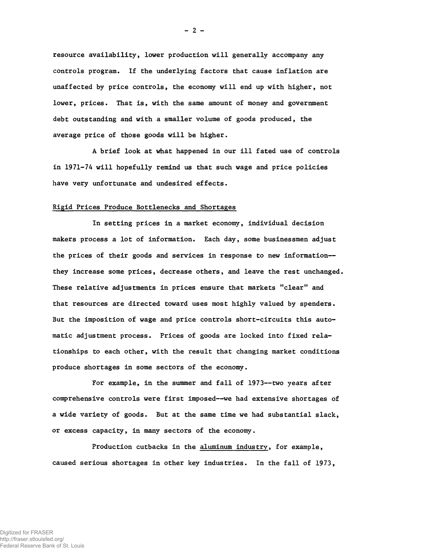**resource availability, lower production will generally accompany any controls program. If the underlying factors that cause inflation are unaffected by price controls, the economy will end up with higher, not lower, prices. That is, with the same amount of money and government debt outstanding and with a smaller volume of goods produced, the average price of those goods will be higher.**

**A brief look at what happened in our ill fated use of controls in 1971-74 will hopefully remind us that such wage and price policies have very unfortunate and undesired effects.**

### **Rigid Prices Produce Bottlenecks and Shortages**

**In setting prices in a market economy, individual decision makers process a lot of information. Each day, some businessmen adjust the prices of their goods and services in response to new information they increase some prices, decrease others, and leave the rest unchanged. These relative adjustments in prices ensure that markets "clear" and that resources are directed toward uses most highly valued by spenders. But the imposition of wage and price controls short-circuits this automatic adjustment process. Prices of goods are locked into fixed relationships to each other, with the result that changing market conditions produce shortages in some sectors of the economy.**

**For example, in the summer and fall of 1973— two years after comprehensive controls were first imposed— we had extensive shortages of a wide variety of goods. But at the same time we had substantial slack, or excess capacity, in many sectors of the economy.**

**Production cutbacks in the aluminum industry, for example, caused serious shortages in other key industries. In the fall of 1973,**

**- 2 -**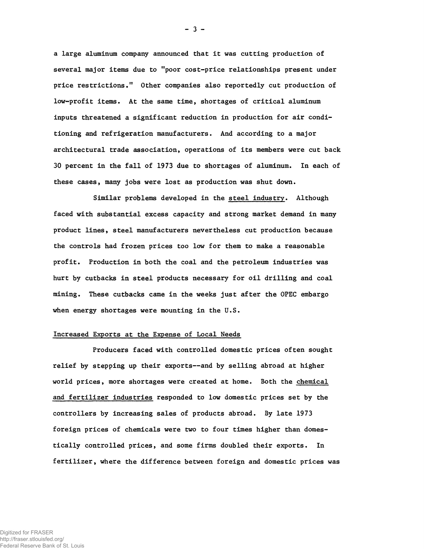**a large aluminum company announced that it was cutting production of several major items due to "poor cost-price relationships present under price restrictions.11 Other companies also reportedly cut production of low-profit items. At the same time, shortages of critical aluminum inputs threatened a significant reduction in production for air conditioning and refrigeration manufacturers. And according to a major architectural trade association, operations of its members were cut back 30 percent in the fall of 1973 due to shortages of aluminum. In each of these cases, many jobs were lost as production was shut down.**

**Similar problems developed in the steel industry. Although faced with substantial excess capacity and strong market demand in many product lines, steel manufacturers nevertheless cut production because the controls had frozen prices too low for them to make a reasonable profit. Production in both the coal and the petroleum industries was hurt by cutbacks in steel products necessary for oil drilling and coal mining. These cutbacks came in the weeks just after the OPEC embargo when energy shortages were mounting in the U.S.**

### **Increased Exports at the Expense of Local Needs**

**Producers faced with controlled domestic prices often sought relief by stepping up their exports— and by selling abroad at higher world prices, more shortages were created at home. Both the chemical and fertilizer industries responded to low domestic prices set by the controllers by increasing sales of products abroad. By late 1973 foreign prices of chemicals were two to four times higher than domestically controlled prices, and some firms doubled their exports. In fertilizer, where the difference between foreign and domestic prices was**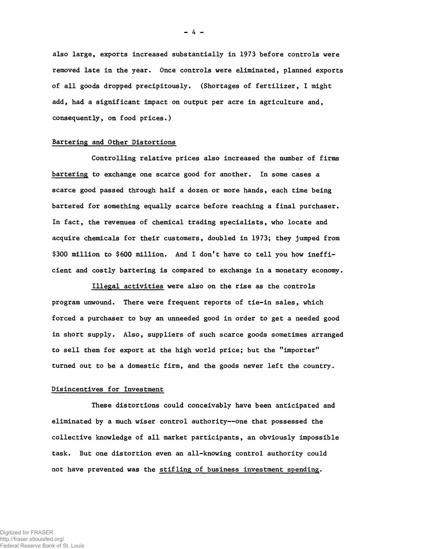**also large, exports increased substantially in 1973 before controls were removed late in the year. Once controls were eliminated, planned exports of all goods dropped precipitously. (Shortages of fertilizer, I might add, had a significant impact on output per acre in agriculture and, consequently, on food prices.)**

### **Bartering and Other Distortions**

**Controlling relative prices also increased the number of firms bartering to exchange one scarce good for another. In some cases a scarce good passed through half a dozen or more hands, each time being bartered for something equally scarce before reaching a final purchaser. In fact, the revenues of chemical trading specialists, who locate and acquire chemicals for their customers, doubled in 1973; they jumped from \$300 million to \$600 million. And I don't have to tell you how inefficient and costly bartering is compared to exchange in a monetary economy.**

**Illegal activities were also on the rise as the controls program unwound. There were frequent reports of tie-in sales, which forced a purchaser to buy an unneeded good in order to get a needed good in short supply. Also, suppliers of such scarce goods sometimes arranged to sell them for export at the high world price; but the "importer" turned out to be a domestic firm, and the goods never left the country.**

### **Disincentives for Investment**

**These distortions could conceivably have been anticipated and eliminated by a much wiser control authority— one that possessed the collective knowledge of all market participants, an obviously impossible task. But one distortion even an all-knowing control authority could not have prevented was the stifling of business investment spending.**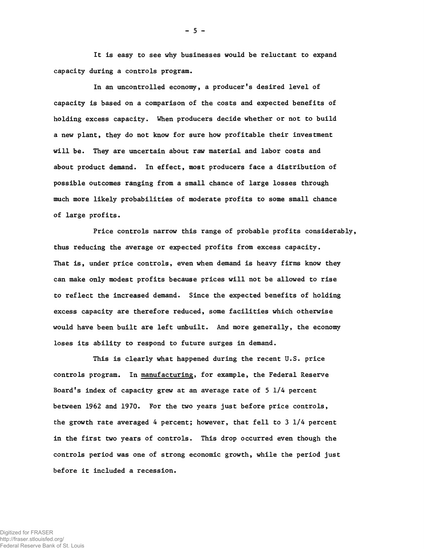**It is easy to see why businesses would be reluctant to expand capacity during a controls program.**

**In an uncontrolled economy, a producer's desired level of capacity is based on a comparison of the costs and expected benefits of holding excess capacity. When producers decide whether or not to build a new plant, they do not know for sure how profitable their investment will be. They are uncertain about raw material and labor costs and about product demand. In effect, most producers face a distribution of possible outcomes ranging from a small chance of large losses through much more likely probabilities of moderate profits to some small chance of large profits.**

**Price controls narrow this range of probable profits considerably, thus reducing the average or expected profits from excess capacity. That is, under price controls, even when demand is heavy firms know they can make only modest profits because prices will not be allowed to rise to reflect the increased demand. Since the expected benefits of holding excess capacity are therefore reduced, some facilities which otherwise would have been built are left unbuilt. And more generally, the economy loses its ability to respond to future surges in demand.**

**This is clearly what happened during the recent U.S. price controls program. In manufacturing, for example, the Federal Reserve Board's index of capacity grew at an average rate of 5 1/4 percent between 1962 and 1970. For the two years just before price controls, the growth rate averaged 4 percent; however, that fell to 3 1/4 percent in the first two years of controls. This drop occurred even though the controls period was one of strong economic growth, while the period just before it included a recession.**

**- 5 -**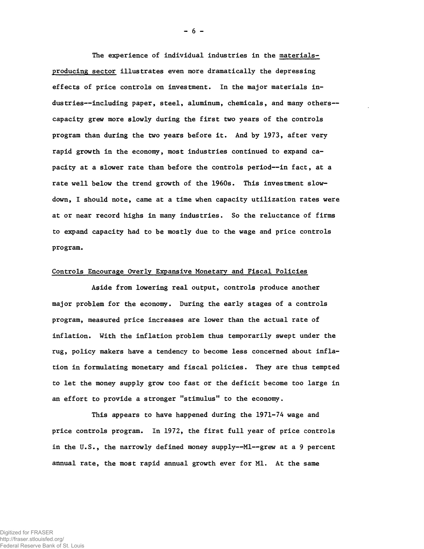**The experience of individual industries in the materialsproducing sector illustrates even more dramatically the depressing effects of price controls on investment. In the major materials industries— including paper, steel, aluminum, chemicals, and many others capacity grew more slowly during the first two years of the controls program than during the two years before it. And by 1973, after very rapid growth in the economy, most industries continued to expand capacity at a slower rate than before the controls period— in fact, at a rate well below the trend growth of the 1960s. This investment slowdown, I should note, came at a time when capacity utilization rates were at or near record highs in many industries. So the reluctance of firms to expand capacity had to be mostly due to the wage and price controls program.**

## **Controls Encourage Overly Expansive Monetary and Fiscal Policies**

**Aside from lowering real output, controls produce another major problem for the economy. During the early stages of a controls program, measured price increases are lower than the actual rate of inflation. With the inflation problem thus temporarily swept under the rug, policy makers have a tendency to become less concerned about inflation in formulating monetary and fiscal policies. They are thus tempted to let the money supply grow too fast or the deficit become too large in an effort to provide a stronger "stimulus" to the economy.**

**This appears to have happened during the 1971-74 wage and price controls program. In 1972, the first full year of price controls in the U.S., the narrowly defined money supply— Ml— grew at a 9 percent annual rate, the most rapid annual growth ever for Ml. At the same**

**- 6 -**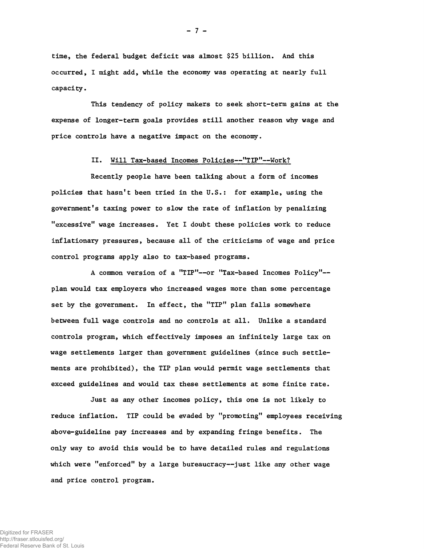**time, the federal budget deficit was almost \$25 billion. And this occurred, I might add, while the economy was operating at nearly full capacity.**

**This tendency of policy makers to seek short-term gains at the expense of longer-term goals provides still another reason why wage and price controls have a negative impact on the economy.**

## **II. Will Tax-based Incomes Policies— "TIP"— Work?**

**Recently people have been talking about a form of incomes** policies that hasn't been tried in the U.S.: for example, using the government's taxing power to slow the rate of inflation by penalizing **f,excessivelf wage increases. Yet I doubt these policies work to reduce inflationary pressures, because all of the criticisms of wage and price control programs apply also to tax-based programs.**

A common version of a "TIP"--or "Tax-based Incomes Policy"-**plan would tax employers who increased wages more than some percentage set by the government. In effect, the "TIP" plan falls somewhere between full wage controls and no controls at all. Unlike a standard controls program, which effectively imposes an infinitely large tax on wage settlements larger than government guidelines (since such settlements are prohibited), the TIP plan would permit wage settlements that exceed guidelines and would tax these settlements at some finite rate.**

**Just as any other incomes policy, this one is not likely to** reduce inflation. TIP could be evaded by "promoting" employees receiving **above-guideline pay increases and by expanding fringe benefits. The only way to avoid this would be to have detailed rules and regulations** which were "enforced" by a large bureaucracy--just like any other wage **and price control program.**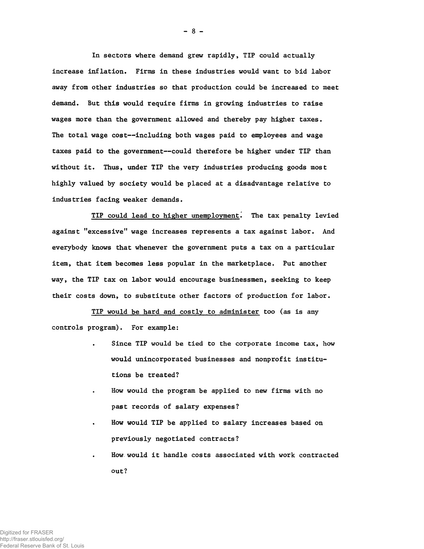**In sectors where demand grew rapidly, TIP could actually increase inflation. Firms in these industries would want to bid labor away from other industries so that production could be increased to meet demand. But this would require firms in growing industries to raise wages more than the government allowed and thereby pay higher taxes. The total wage cost— including both wages paid to employees and wage taxes paid to the government— could therefore be higher under TIP than without it. Thus, under TIP the very industries producing goods most highly valued by society would be placed at a disadvantage relative to industries facing weaker demands.**

**TIP could lead to higher unemployment^ The tax penalty levied against "excessive" wage increases represents a tax against labor. And everybody knows that whenever the government puts a tax on a particular item, that item becomes less popular in the marketplace. Put another way, the TIP tax on labor would encourage businessmen, seeking to keep their costs down, to substitute other factors of production for labor.**

**TIP would be hard and costly to administer too (as is any controls program). For example:**

- **Since TIP would be tied to the corporate income tax, how would unincorporated businesses and nonprofit institutions be treated?**
- **How would the program be applied to new firms with no past records of salary expenses?**
- **How would TIP be applied to salary increases based on previously negotiated contracts?**
- **How would it handle costs associated with work contracted out?**

**- 8 -**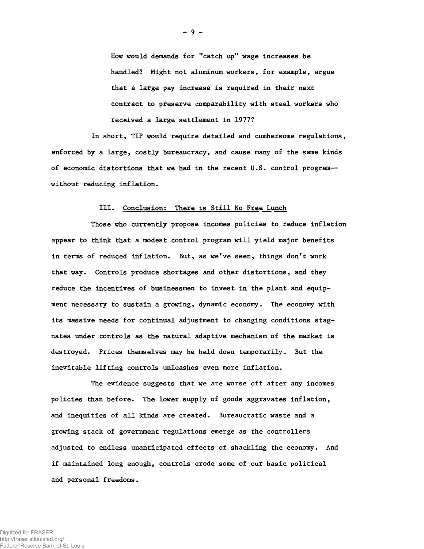**How would demands for "catch up" wage increases be handled? Might not aluminum workers, for example, argue that a large pay increase is required in their next contract to preserve comparability with steel workers who received a large settlement in 1977?**

**In short, TIP would require detailed and cumbersome regulations, enforced by a large, costly bureaucracy, and cause many of the same kinds of economic distortions that we had in the recent U.S. control program without reducing inflation.**

#### **Ill. Conclusion: There is Still No Free Lunch**

**Those who currently propose incomes policies to reduce inflation appear to think that a modest control program will yield major benefits** in terms of reduced inflation. But, as we've seen, things don't work **that way. Controls produce shortages and other distortions, and they reduce the incentives of businessmen to invest in the plant and equipment necessary to sustain a growing, dynamic economy. The economy with its massive needs for continual adjustment to changing conditions stagnates under controls as the natural adaptive mechanism of the market is destroyed. Prices themselves may be held down temporarily. But the inevitable lifting controls unleashes even more inflation.**

**The evidence suggests that we are worse off after any incomes policies than before. The lower supply of goods aggravates inflation, and inequities of all kinds are created. Bureaucratic waste and a growing stack of government regulations emerge as the controllers adjusted to endless unanticipated effects of shackling the economy. And if maintained long enough, controls erode some of our basic political and personal freedoms.**